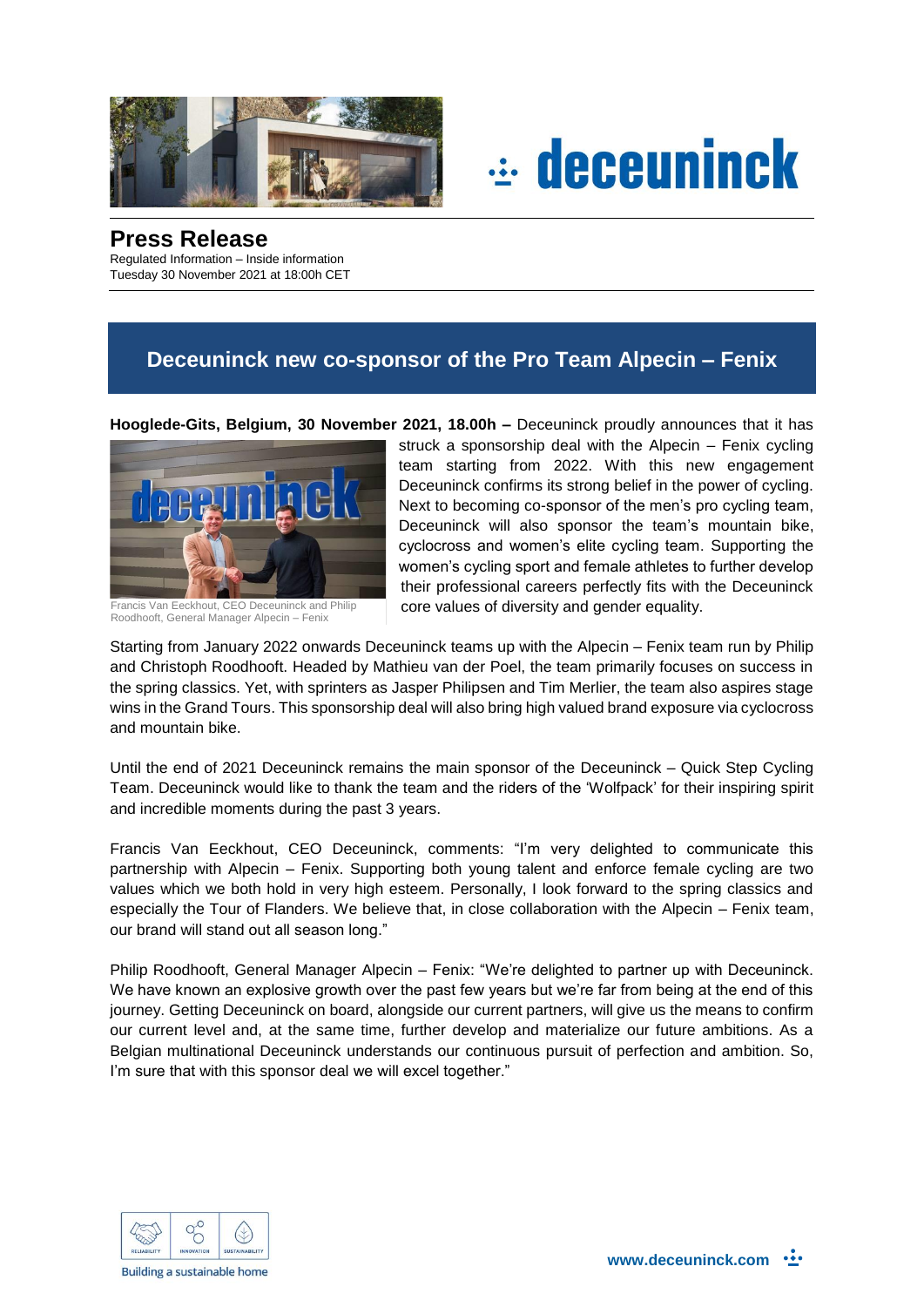



## **Press Release**

Regulated Information – Inside information Tuesday 30 November 2021 at 18:00h CET

## **Deceuninck new co-sponsor of the Pro Team Alpecin – Fenix**

**Hooglede-Gits, Belgium, 30 November 2021, 18.00h –** Deceuninck proudly announces that it has



Francis Van Eeckhout, CEO Deceuninck and Philip Roodhooft, General Manager Alpecin – Fenix

struck a sponsorship deal with the Alpecin – Fenix cycling team starting from 2022. With this new engagement Deceuninck confirms its strong belief in the power of cycling. Next to becoming co-sponsor of the men's pro cycling team, Deceuninck will also sponsor the team's mountain bike, cyclocross and women's elite cycling team. Supporting the women's cycling sport and female athletes to further develop their professional careers perfectly fits with the Deceuninck core values of diversity and gender equality.

Starting from January 2022 onwards Deceuninck teams up with the Alpecin – Fenix team run by Philip and Christoph Roodhooft. Headed by Mathieu van der Poel, the team primarily focuses on success in the spring classics. Yet, with sprinters as Jasper Philipsen and Tim Merlier, the team also aspires stage wins in the Grand Tours. This sponsorship deal will also bring high valued brand exposure via cyclocross and mountain bike.

Until the end of 2021 Deceuninck remains the main sponsor of the Deceuninck – Quick Step Cycling Team. Deceuninck would like to thank the team and the riders of the 'Wolfpack' for their inspiring spirit and incredible moments during the past 3 years.

Francis Van Eeckhout, CEO Deceuninck, comments: "I'm very delighted to communicate this partnership with Alpecin – Fenix. Supporting both young talent and enforce female cycling are two values which we both hold in very high esteem. Personally, I look forward to the spring classics and especially the Tour of Flanders. We believe that, in close collaboration with the Alpecin – Fenix team, our brand will stand out all season long."

Philip Roodhooft, General Manager Alpecin – Fenix: "We're delighted to partner up with Deceuninck. We have known an explosive growth over the past few years but we're far from being at the end of this journey. Getting Deceuninck on board, alongside our current partners, will give us the means to confirm our current level and, at the same time, further develop and materialize our future ambitions. As a Belgian multinational Deceuninck understands our continuous pursuit of perfection and ambition. So, I'm sure that with this sponsor deal we will excel together."